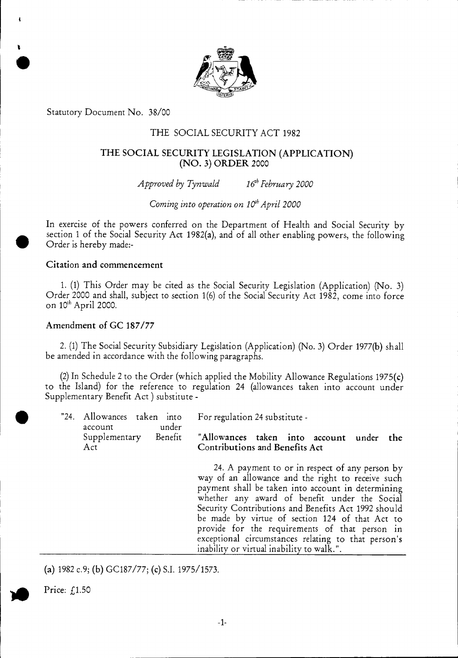

Statutory Document No. 38/00

i

# THE SOCIAL SECURITY ACT 1982

# **THE SOCIAL SECURITY LEGISLATION (APPLICATION) (NO. 3) ORDER** 2000

*Approved by Tynwald* 16<sup>th</sup> February 2000

*Coming into operation on 10<sup>th</sup> April 2000* 

In exercise of the powers conferred on the Department of Health and Social Security by section 1 of the Social Security Act 1982(a), and of all other enabling powers, the following Order is hereby made:-

## **Citation and commencement**

1. (1) This Order may be cited as the Social Security Legislation (Application) (No. 3) Order 2000 and shall, subject to section 1(6) of the Social Security Act 1982, come into force on 10<sup>th</sup> April 2000.

# **Amendment of GC 187/77**

2. (1) The Social Security Subsidiary Legislation (Application) (No. 3) Order 1977(b) shall be amended in accordance with the following paragraphs.

(2) In Schedule 2 to the Order (which applied the Mobility Allowance Regulations 1975 $(c)$ to the Island) for the reference to regulation **24** (allowances taken into account under Supplementary Benefit Act ) substitute -

| "24. Allowances taken into<br>under<br>account | For regulation 24 substitute -                                                                                                                                                                                                                                                                                                                                                                                                                                              |  |  |  |  |  |
|------------------------------------------------|-----------------------------------------------------------------------------------------------------------------------------------------------------------------------------------------------------------------------------------------------------------------------------------------------------------------------------------------------------------------------------------------------------------------------------------------------------------------------------|--|--|--|--|--|
| Supplementary<br>Benefit<br>Act                | "Allowances taken into account under<br>the the the state of the state of the state in the state in the state in the state in the state in the state i<br>Contributions and Benefits Act                                                                                                                                                                                                                                                                                    |  |  |  |  |  |
|                                                | 24. A payment to or in respect of any person by<br>way of an allowance and the right to receive such<br>payment shall be taken into account in determining<br>whether any award of benefit under the Social<br>Security Contributions and Benefits Act 1992 should<br>be made by virtue of section 124 of that Act to<br>provide for the requirements of that person in<br>exceptional circumstances relating to that person's<br>inability or virtual inability to walk.". |  |  |  |  |  |

**(a)** 1982 c.9; **(b)** GC187/77; (c) S.I. 1975/1573.

Price: £1.50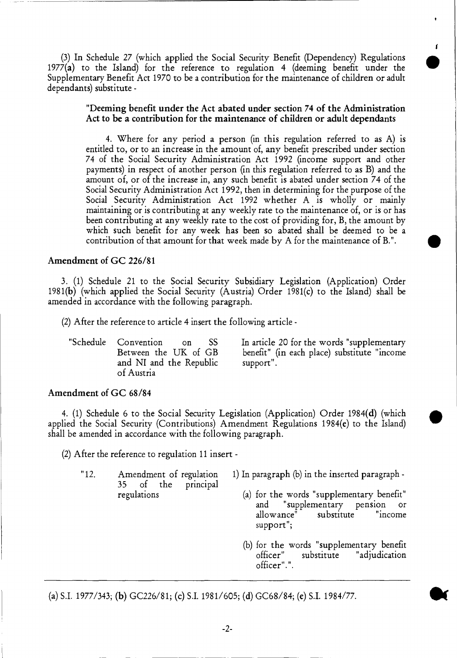(3) In Schedule 27 (which applied the Social Security Benefit (Dependency) Regulations 1977(a) to the Island) for the reference to regulation 4 (deeming benefit under the Supplementary Benefit Act 1970 to be a contribution for the maintenance of children or adult dependants) substitute **-** 

#### **"Deeming benefit under the Act abated under** section 74 **of the Administration Act to be a contribution for the maintenance of children or adult dependants**

4. Where for any period a person (in this regulation referred to as A) is entitled to, or to an increase in the amount of, any benefit prescribed under section 74 of the Social Security Administration Act 1992 (income support and other payments) in respect of another person (in this regulation referred to as B) and the amount of, or of the increase in, any such benefit is abated under section 74 of the Social Security Administration Act 1992, then in determining for the purpose of the Social Security Administration Act 1992 whether A is wholly or mainly maintaining or is contributing at any weekly rate to the maintenance of, or is or has been contributing at any weekly rate to the cost of providing for, B, the amount by which such benefit for any week has been so abated shall be deemed to be a contribution of that amount for that week made by A for the maintenance of **B.".** 

#### **Amendment of** GC 226/81

3. (1) Schedule 21 to the Social Security Subsidiary Legislation (Application) Order 1981(b) (which applied the Social Security (Austria) Order 1981(c) to the Island) shall be amended in accordance with the following paragraph.

(2) After the reference to article 4 insert the following article -

| "Schedule Convention on SS |  |
|----------------------------|--|
| Between the UK of GB       |  |
| and NI and the Republic    |  |
| of Austria                 |  |

In article 20 for the words "supplementary benefit" (in each place) substitute "income support".

,

t •

•

•

#### **Amendment of** GC 68/84

4. (1) Schedule 6 to the Social Security Legislation (Application) Order 1984(d) (which applied the Social Security (Contributions) Amendment Regulations 1984(e) to the Island) shall be amended in accordance with the following paragraph.

(2) After the reference to regulation 11 insert -

- "12. Amendment of regulation 35 of the principal regulations 1) In paragraph (b) in the inserted paragraph - (a) for the words "supplementary benefit" and "supplementary pension or<br>allowance" substitute "income
	- allowance" support"; (b) for the words "supplementary benefit
	- officer" substitute "adjudication officer".".

(a) S.I. 1977/343; **(b)** GC226/81; (c) S.I. 1981/605; **(d)** GC68/84; (e) S.I. 1984/77.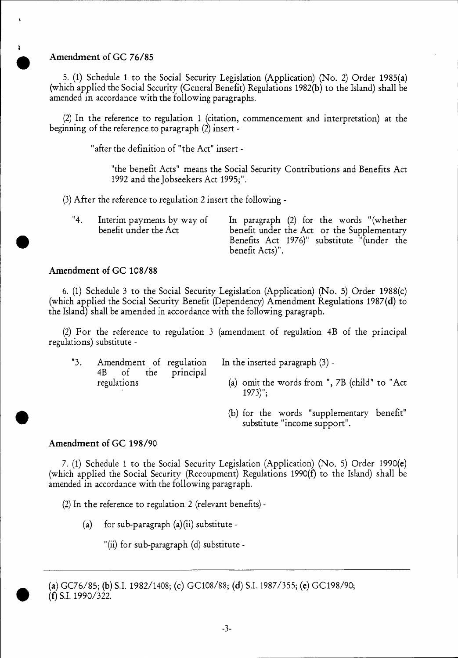# Amendment of GC 76/85

i •<br>●

5. (1) Schedule 1 to the Social Security Legislation (Application) (No. 2) Order 1985(a) (which applied the Social Security (General Benefit) Regulations 1982(b) to the Island) shall be amended in accordance with the following paragraphs.

(2)In the reference to regulation 1 (citation, commencement and interpretation) at the beginning of the reference to paragraph (2) insert -

"after the definition of "the Act" insert -

"the benefit Acts" means the Social Security Contributions and Benefits Act 1992 and the Jobseekers Act 1995;".

(3)After the reference to regulation 2 insert the following -

"4. Interim payments by way of In paragraph (2) for the words "(whether benefit under the Act or the Supplementary Benefits Act 1976)" substitute "(under the benefit Acts)".

# Amendment of GC 108/88

6. (1) Schedule 3 to the Social Security Legislation (Application) (No. 5) Order 1988(c) (which applied the Social Security Benefit (Dependency) Amendment Regulations 1987(d) to the Island) shall be amended in accordance with the following paragraph.

(2) For the reference to regulation 3 (amendment of regulation 4B of the principal regulations) substitute -

"3. Amendment of regulation In the inserted paragraph (3) - 4B of the principal

- regulations (a) omit the words from ", 7B (child" to "Act  $1973$ ";
	- (b) for the words "supplementary benefit" substitute "income support".

# Amendment of GC 198/90

7. (1) Schedule 1 to the Social Security Legislation (Application) (No. 5) Order 1990(e) (which applied the Social Security (Recoupment) Regulations 1990(f) to the Island) shall be amended in accordance with the following paragraph.

(2) In the reference to regulation 2 (relevant benefits) -

(a) for sub-paragraph  $(a)(ii)$  substitute -

"(ii) for sub-paragraph (d) substitute -

(a) GC76/85; (b) S.I. 1982/1408; (c) GC108/88; (d) S.I. 1987/355; (e) GC198/90; • (f) S.I. 1990/322.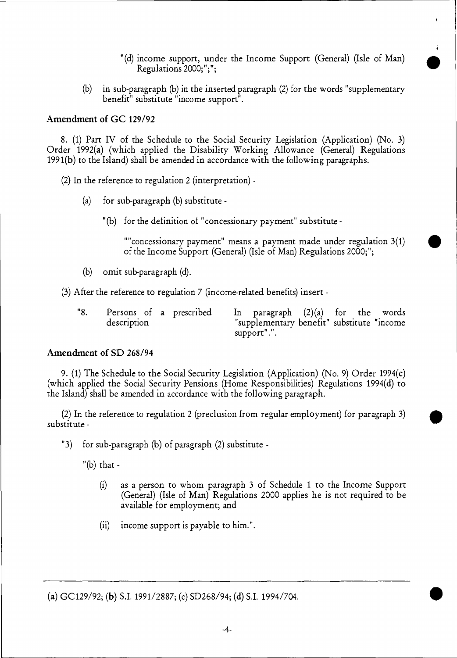"(d) income support, under the Income Support (General) (Isle of Man) Regulations 2000;";";

t •

•

•

**(b)** in sub-paragraph (b) in the inserted paragraph (2) for the words "supplementary benefit" substitute "income support".

# **Amendment of GC 129/92**

8. (1) Part IV of the Schedule to the Social Security Legislation (Application) (No. 3) Order 1992(a) (which applied the Disability Working Allowance (General) Regulations 1991(b) to the Island) shall be amended in accordance with the following paragraphs.

(2) In the reference to regulation 2 (interpretation) -

- (a) for sub-paragraph (b) substitute
	- "(b) for the definition of "concessionary payment" substitute -

""concessionary payment" means a payment made under regulation 3(1) of the Income Support (General) (Isle of Man) Regulations 2000;";

(b) omit sub-paragraph (d).

(3) After the reference to regulation 7 (income-related benefits) insert -

| "8. |             |  | Persons of a prescribed |                                            | In paragraph $(2)(a)$ for the words |  |  |  |
|-----|-------------|--|-------------------------|--------------------------------------------|-------------------------------------|--|--|--|
|     | description |  |                         | "supplementary benefit" substitute "income |                                     |  |  |  |
|     |             |  |                         |                                            | support".".                         |  |  |  |

# **Amendment of SD 268/94**

9. (1) The Schedule to the Social Security Legislation (Application) (No. 9) Order 1994(c) (which applied the Social Security Pensions (Home Responsibilities) Regulations 1994(d) to the Island) shall be amended in accordance with the following paragraph.

(2) In the reference to regulation 2 (preclusion from regular employment) for paragraph 3) substitute -

"3) for sub-paragraph (b) of paragraph (2) substitute -

"(b) that -

- (i) as a person to whom paragraph 3 of Schedule 1 to the Income Support (General) (Isle of Man) Regulations 2000 applies he is not required to be available for employment; and
- (ii) income support is payable to him.".

**(a)** GC129/92; **(b)** S.I. 1991/2887; (c) SD268/94; **(d)** S.I. 1994/704. 410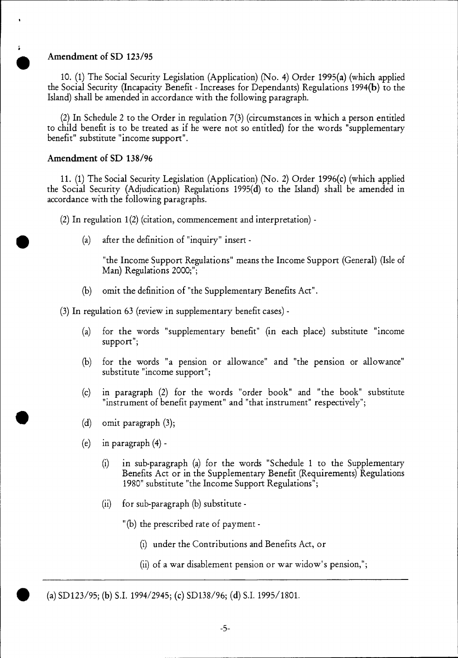# • **Amendment of SD 123/95**

10. (1) The Social Security Legislation (Application) (No. 4) Order 1995(a) (which applied the Social Security (Incapacity Benefit - Increases for Dependants) Regulations 1994(b) to the Island) shall be amended in accordance with the following paragraph.

(2) In Schedule 2 to the Order in regulation 7(3) (circumstances in which a person entitled to child benefit is to be treated as if he were not so entitled) for the words "supplementary benefit" substitute "income support".

### **Amendment of SD 138/96**

11. (1) The Social Security Legislation (Application) (No. 2) Order 1996(c) (which applied the Social Security (Adjudication) Regulations 1995(d) to the Island) shall be amended in accordance with the following paragraphs.

(2) In regulation  $1(2)$  (citation, commencement and interpretation) -

• (a) after the definition of "inquiry" insert -

"the Income Support Regulations" means the Income Support (General) (Isle of Man) Regulations 2000;";

(b) omit the definition of "the Supplementary Benefits Act".

(3)In regulation 63 (review in supplementary benefit cases) -

- (a) for the words "supplementary benefit" (in each place) substitute "income support";
- (b) for the words "a pension or allowance" and "the pension or allowance" substitute "income support";
- (c) in paragraph (2) for the words "order book" and "the book" substitute "instrument of benefit payment" and "that instrument" respectively";
- (d) omit paragraph (3);
- (e) in paragraph (4)
	- (i) in sub-paragraph (a) for the words "Schedule 1 to the Supplementary Benefits Act or in the Supplementary Benefit (Requirements) Regulations 1980" substitute "the Income Support Regulations";
	- (ii) for sub-paragraph (b) substitute
		- "(b) the prescribed rate of payment
			- (i) under the Contributions and Benefits Act, or
			- (ii) of a war disablement pension or war widow's pension,";

**• (a)** SD123/95; **(b)** S.I. 1994/2945; (c) SD138/96; **(d)** S.I. 1995/1801.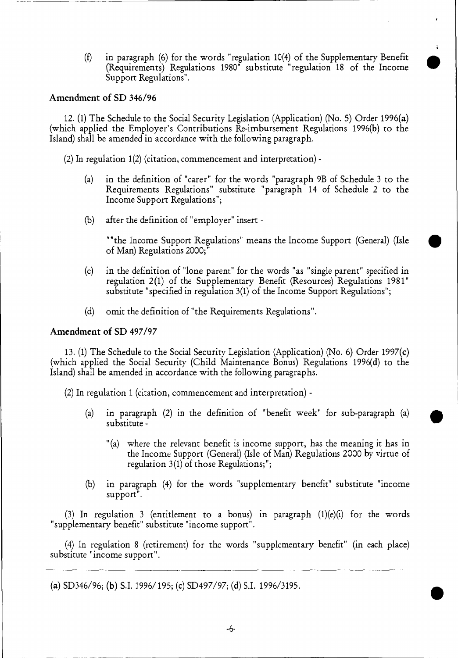(f) in paragraph (6) for the words "regulation 10(4) of the Supplementary Benefit (Requirements) Regulations 1980" substitute "regulation 18 of the Income Support Regulations".

t •

 $\bullet$ 

•

#### **Amendment of SD 346/96**

12. (1) The Schedule to the Social Security Legislation (Application) (No. 5) Order 1996(a) (which applied the Employer's Contributions Re-imbursement Regulations 1996(b) to the Island) shall be amended in accordance with the following paragraph.

(2) In regulation 1(2) (citation, commencement and interpretation) -

- (a) in the definition of "carer" for the words "paragraph 9B of Schedule 3 to the Requirements Regulations" substitute "paragraph 14 of Schedule 2 to the Income Support Regulations";
- (b) after the definition of "employer" insert -

"the Income Support Regulations" means the Income Support (General) (Isle of Man) Regulations 2000;"

- (c) in the definition of "lone parent" for the words "as "single parent" specified in regulation 2(1) of the Supplementary Benefit (Resources) Regulations 1981" substitute "specified in regulation 3(1) of the Income Support Regulations";
- (d) omit the definition of "the Requirements Regulations".

# **Amendment of SD 497/97**

13. (1) The Schedule to the Social Security Legislation (Application) (No. 6) Order 1997(c) (which applied the Social Security (Child Maintenance Bonus) Regulations 1996(d) to the Island) shall be amended in accordance with the following paragraphs.

(2) In regulation 1 (citation, commencement and interpretation) -

- (a) in paragraph (2) in the definition of "benefit week" for sub-paragraph (a) substitute -
	- "(a) where the relevant benefit is income support, has the meaning it has in the Income Support (General) (Isle of Man) Regulations 2000 by virtue of regulation 3(1) of those Regulations;";
- (b) in paragraph (4) for the words "supplementary benefit" substitute "income support".

(3) In regulation 3 (entitlement to a bonus) in paragraph (1)(e)(i) for the words "supplementary benefit" substitute "income support".

(4) In regulation 8 (retirement) for the words "supplementary benefit" (in each place) substitute "income support".

**(a)** SD346/96; **(b)** S.I. 1996/195; (c) SD497/97; **(d)** S.I. 1996/3195.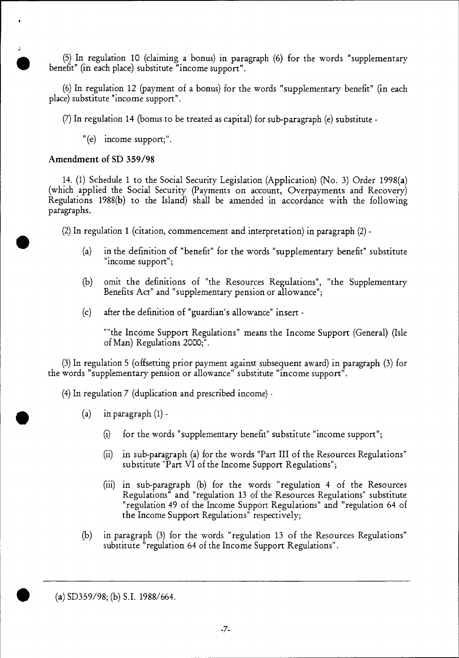(5) In regulation 10 (claiming a bonus) in paragraph (6) for the words "supplementary benefit" (in each place) substitute "income support".

(6)In regulation 12 (payment of a bonus) for the words "supplementary benefit" (in each place) substitute "income support".

(7)In regulation 14 (bonus to be treated as capital) for sub-paragraph (e) substitute -

"(e) income support;".

# Amendment of SD 359/98

。<br>●

14. (1) Schedule 1 to the Social Security Legislation (Application) (No. 3) Order 1998(a) (which applied the Social Security (Payments on account, Overpayments and Recovery) Regulations 1988(b) to the Island) shall be amended in accordance with the following paragraphs.

(2) In regulation 1 (citation, commencement and interpretation) in paragraph (2) -

- (a) in the definition of "benefit" for the words "supplementary benefit" substitute "income support";
- (b) omit the definitions of "the Resources Regulations", "the Supplementary Benefits Act" and "supplementary pension or allowance";
- (c) after the definition of "guardian's allowance" insert -

"the Income Support Regulations" means the Income Support (General) (Isle of Man) Regulations 2000;".

(3) In regulation 5 (offsetting prior payment against subsequent award) in paragraph (3) for the words "supplementary pension or allowance" substitute "income support".

(4) In regulation 7 (duplication and prescribed income) -

- (a) in paragraph  $(1)$  -
	- (i) for the words "supplementary benefit" substitute "income support";
	- (ii) in sub-paragraph (a) for the words "Part III of the Resources Regulations" substitute "Part VI of the Income Support Regulations";
	- (iii) in sub-paragraph (b) for the words "regulation 4 of the Resources Regulations" and "regulation 13 of the Resources Regulations" substitute "regulation 49 of the Income Support Regulations" and "regulation 64 of the Income Support Regulations" respectively;
- (b) in paragraph (3) for the words "regulation 13 of the Resources Regulations" substitute "regulation 64 of the Income Support Regulations".

**II** (a) SD359/98; (b) S.I. 1988/664.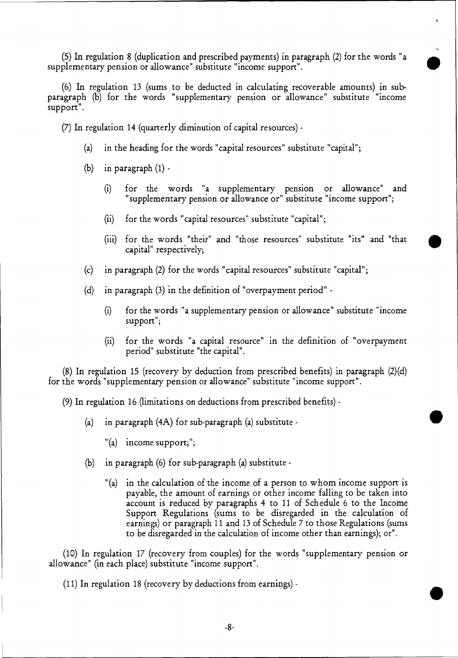(5) In regulation 8 (duplication and prescribed payments) in paragraph (2) for the words "a supplementary pension or allowance" substitute "income support".

(6) In regulation 13 (sums to be deducted in calculating recoverable amounts) in subparagraph (b) for the words "supplementary pension or allowance" substitute "income support".

(7) In regulation 14 (quarterly diminution of capital resources) -

- (a) in the heading for the words "capital resources" substitute "capital";
- (b) in paragraph (1)
	- (i) for the words "a supplementary pension or allowance" and "supplementary pension or allowance or" substitute "income support";

•<br>●

- (ii) for the words "capital resources" substitute "capital";
- (iii) for the words "their" and "those resources" substitute "its" and "that capital" respectively;
- (c) in paragraph (2) for the words "capital resources" substitute "capital";
- (d) in paragraph (3) in the definition of "overpayment period"
	- (i) for the words "a supplementary pension or allowance" substitute "income support";
	- (ii) for the words "a capital resource" in the definition of "overpayment period" substitute "the capital".

(8) In regulation 15 (recovery by deduction from prescribed benefits) in paragraph (2)(d) for the words "supplementary pension or allowance" substitute "income support".

(9) In regulation 16 (limitations on deductions from prescribed benefits) -

(a) in paragraph (4A) for sub-paragraph (a) substitute -

"(a) income support;";

- (b) in paragraph (6) for sub-paragraph (a) substitute
	- "(a) in the calculation of the income of a person to whom income support is payable, the amount of earnings or other income falling to be taken into account is reduced by paragraphs 4 to 11 of Schedule 6 to the Income Support Regulations (sums to be disregarded in the calculation of earnings) or paragraph 11 and 13 of Schedule 7 to those Regulations (sums to be disregarded in the calculation of income other than earnings); or".

(10) In regulation 17 (recovery from couples) for the words "supplementary pension or allowance" (in each place) substitute "income support".

(11) In regulation 18 (recovery by deductions from earnings) -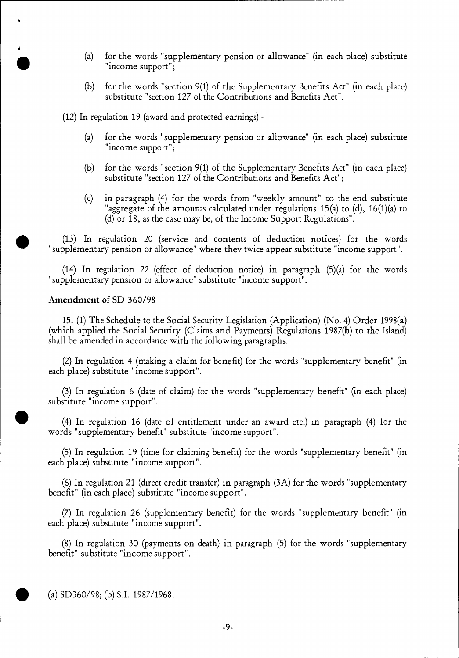- (a) for the words "supplementary pension or allowance" (in each place) substitute "income support";
- (b) for the words "section 9(1) of the Supplementary Benefits Act" (in each place) substitute "section 127 of the Contributions and Benefits Act".

(12) In regulation 19 (award and protected earnings) -

- (a) for the words "supplementary pension or allowance" (in each place) substitute "income support";
- (b) for the words "section 9(1) of the Supplementary Benefits Act" (in each place) substitute "section 127 of the Contributions and Benefits Act";
- (c) in paragraph (4) for the words from "weekly amount" to the end substitute "aggregate of the amounts calculated under regulations 15(a) to (d), 16(1)(a) to (d) or 18, as the case may be, of the Income Support Regulations".

(13) In regulation 20 (service and contents of deduction notices) for the words "supplementary pension or allowance" where they twice appear substitute "income support".

(14) In regulation 22 (effect of deduction notice) in paragraph (5)(a) for the words "supplementary pension or allowance" substitute "income support".

#### Amendment of SD 360/98

**4** 

 $\bullet$ 

15. (1) The Schedule to the Social Security Legislation (Application) (No. 4) Order 1998(a) (which applied the Social Security (Claims and Payments) Regulations 1987(b) to the Island) shall be amended in accordance with the following paragraphs.

(2) In regulation 4 (making a claim for benefit) for the words "supplementary benefit" (in each place) substitute "income support".

(3) In regulation 6 (date of claim) for the words "supplementary benefit" (in each place) substitute "income support".

0 (4) In regulation 16 (date of entitlement under an award etc.) in paragraph (4) for the words "supplementary benefit" substitute "income support".

(5) In regulation 19 (time for claiming benefit) for the words "supplementary benefit" (in each place) substitute "income support".

(6) In regulation 21 (direct credit transfer) in paragraph (3A) for the words "supplementary benefit" (in each place) substitute "income support".

(7) In regulation 26 (supplementary benefit) for the words "supplementary benefit" (in each place) substitute "income support".

(8) In regulation 30 (payments on death) in paragraph (5) for the words "supplementary benefit" substitute "income support".

#### (a)  $SD360/98$ ; (b) S.I. 1987/1968.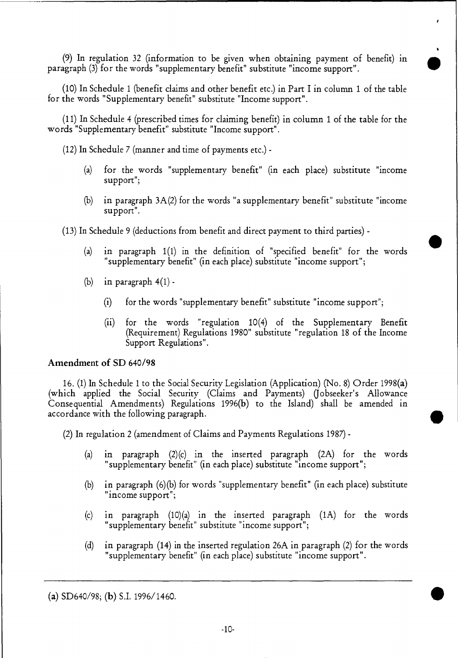(9) In regulation 32 (information to be given when obtaining payment of benefit) in paragraph (3) for the words "supplementary benefit" substitute "income support".

•<br>●

**e** 

 $\bullet$ 

(10) In Schedule 1 (benefit claims and other benefit etc.) in Part I in column 1 of the table for the words "Supplementary benefit" substitute "Income support".

(11) In Schedule 4 (prescribed times for claiming benefit) in column 1 of the table for the words "Supplementary benefit" substitute "Income support".

(12) In Schedule 7 (manner and time of payments etc.) -

- (a) for the words "supplementary benefit" (in each place) substitute "income support";
- (b) in paragraph 3A(2) for the words "a supplementary benefit" substitute "income support".

(13) In Schedule 9 (deductions from benefit and direct payment to third parties) -

- (a) in paragraph 1(1) in the definition of "specified benefit" for the words "supplementary benefit" (in each place) substitute "income support";
- (b) in paragraph  $4(1)$  -
	- $(i)$  for the words "supplementary benefit" substitute "income support";
	- (ii) for the words "regulation 10(4) of the Supplementary Benefit (Requirement) Regulations 1980" substitute "regulation 18 of the Income Support Regulations".

## **Amendment of** SD 640/98

16. (1) In Schedule 1 to the Social Security Legislation (Application) (No. 8) Order 1998(a) (which applied the Social Security (Claims and Payments) (Jobseeker's Allowance Consequential Amendments) Regulations 1996(b) to the Island) shall be amended in accordance with the following paragraph.

(2) In regulation 2 (amendment of Claims and Payments Regulations 1987) -

- (a) in paragraph (2)(c) in the inserted paragraph (2A) for the words "supplementary benefit" (in each place) substitute "income support";
- (b) in paragraph (6)(b) for words "supplementary benefit" (in each place) substitute "income support";
- (c) in paragraph (10)(a) in the inserted paragraph (1A) for the words "supplementary benefit" substitute "income support";
- (d) in paragraph (14) in the inserted regulation 26A in paragraph (2) for the words "supplementary benefit" (in each place) substitute "income support".

**(a)** SD640/98; **(b)** S.I. 1996/1460.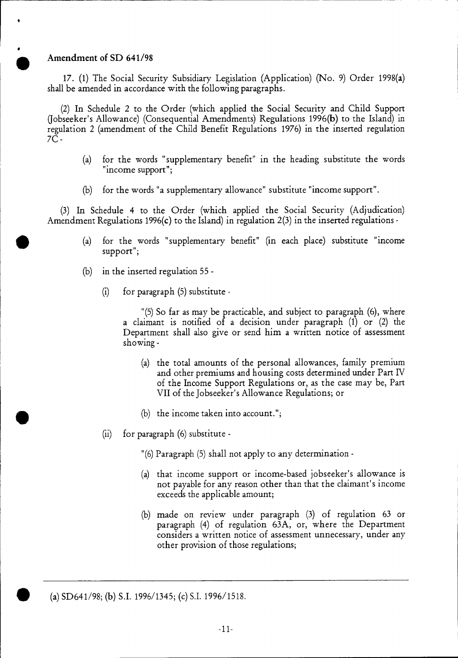## **Amendment of SD 641/98**

•<br>●

•

17. (1) The Social Security Subsidiary Legislation (Application) (No. 9) Order 1998(a) shall be amended in accordance with the following paragraphs.

(2) In Schedule 2 to the Order (which applied the Social Security and Child Support (Jobseeker's Allowance) (Consequential Amendments) Regulations 1996(b) to the Island) in regulation 2 (amendment of the Child Benefit Regulations 1976) in the inserted regulation 7C -

- (a) for the words "supplementary benefit" in the heading substitute the words "income support";
- (b) for the words "a supplementary allowance" substitute "income support".

(3) In Schedule 4 to the Order (which applied the Social Security (Adjudication) Amendment Regulations 1996(c) to the Island) in regulation 2(3) in the inserted regulations -

- (a) for the words "supplementary benefit" (in each place) substitute "income support";
- (b) in the inserted regulation 55
	- (i) for paragraph (5) substitute -

"(5) So far as may be practicable, and subject to paragraph (6), where a claimant is notified of a decision under paragraph (1) or (2) the Department shall also give or send him a written notice of assessment showing -

- (a) the total amounts of the personal allowances, family premium and other premiums and housing costs determined under Part IV of the Income Support Regulations or, as the case may be, Part VII of the Jobseeker's Allowance Regulations; or
- (b) the income taken into account.";
- (ii) for paragraph (6) substitute -

"(6) Paragraph (5) shall not apply to any determination -

- (a) that income support or income-based jobseeker's allowance is not payable for any reason other than that the claimant's income exceeds the applicable amount;
- (b) made on review under paragraph (3) of regulation 63 or paragraph (4) of regulation 63A, or, where the Department considers a written notice of assessment unnecessary, under any other provision of those regulations;

**• (a)** SD641/98; **(b)** S.I. 1996/1345; (c) S.I. 1996/1518.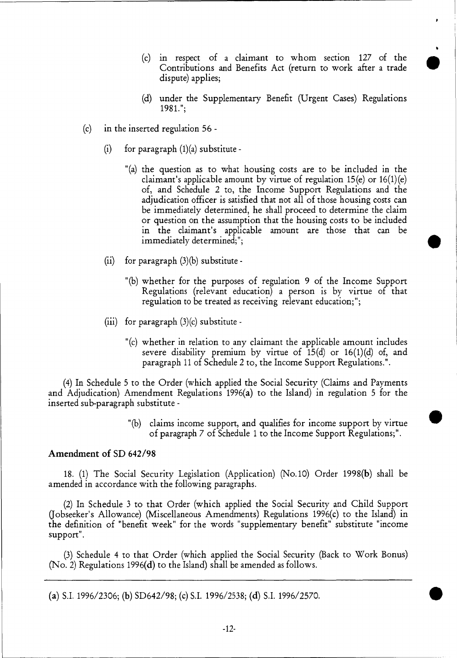(c) in respect of a claimant to whom section 127 of the Contributions and Benefits Act (return to work after a trade dispute) applies;

•

•

**0** 

•

- (d) under the Supplementary Benefit (Urgent Cases) Regulations 1981.";
- (c) in the inserted regulation 56
	- (i) for paragraph  $(1)(a)$  substitute -
		- "(a) the question as to what housing costs are to be included in the claimant's applicable amount by virtue of regulation  $15(e)$  or  $16(1)(e)$ of, and Schedule 2 to, the Income Support Regulations and the adjudication officer is satisfied that not all of those housing costs can be immediately determined, he shall proceed to determine the claim or question on the assumption that the housing costs to be included in the claimant's applicable amount are those that can be immediately determined;";
	- (ii) for paragraph  $(3)(b)$  substitute -
		- "(b) whether for the purposes of regulation 9 of the Income Support Regulations (relevant education) a person is by virtue of that regulation to be treated as receiving relevant education;";
	- (iii) for paragraph  $(3)(c)$  substitute -
		- "(c) whether in relation to any claimant the applicable amount includes severe disability premium by virtue of  $15(d)$  or  $16(1)(d)$  of, and paragraph 11 of Schedule 2 to, the Income Support Regulations.".

(4) In Schedule 5 to the Order (which applied the Social Security (Claims and Payments and Adjudication) Amendment Regulations 1996(a) to the Island) in regulation 5 for the inserted sub-paragraph substitute -

> "(b) claims income support, and qualifies for income support by virtue of paragraph 7 of Schedule 1 to the Income Support Regulations;".

#### **Amendment of SD 642/98**

18. (1) The Social Security Legislation (Application) (No.10) Order 1998(b) shall be amended in accordance with the following paragraphs.

(2) In Schedule 3 to that Order (which applied the Social Security and Child Support (Jobseeker's Allowance) (Miscellaneous Amendments) Regulations 1996(c) to the Island) in the definition of "benefit week" for the words "supplementary benefit" substitute "income support".

(3) Schedule 4 to that Order (which applied the Social Security (Back to Work Bonus) (No. 2) Regulations 1996(d) to the Island) shall be amended as follows.

**<sup>(</sup>a)** S.I. 1996/2306; **(b)** SD642/98; (c) S.I. 1996/2538; **(d)** S.I. 1996/2570.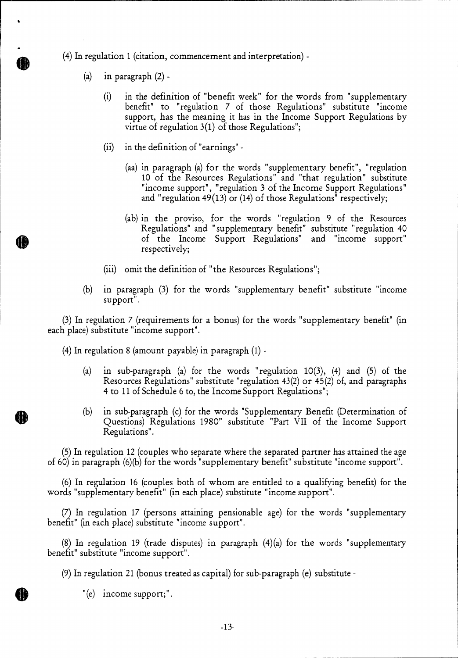- (4) In regulation 1 (citation, commencement and interpretation)
	- (a) in paragraph (2)
		- (i) in the definition of "benefit week" for the words from "supplementary benefit" to "regulation 7 of those Regulations" substitute "income support, has the meaning it has in the Income Support Regulations by virtue of regulation 3(1) of those Regulations";
		- (ii) in the definition of "earnings"
			- (aa) in paragraph (a) for the words "supplementary benefit", "regulation 10 of the Resources Regulations" and "that regulation" substitute "income support", "regulation 3 of the Income Support Regulations" and "regulation 49(13) or (14) of those Regulations" respectively;
			- (ab) in the proviso, for the words "regulation 9 of the Resources Regulations" and "supplementary benefit" substitute "regulation 40 of the Income Support Regulations" and "income support" respectively;
		- (iii) omit the definition of "the Resources Regulations";
	- (b) in paragraph (3) for the words "supplementary benefit" substitute "income support".

(3) In regulation 7 (requirements for a bonus) for the words "supplementary benefit" (in each place) substitute "income support".

(4) In regulation 8 (amount payable) in paragraph (1) -

- (a) in sub-paragraph (a) for the words "regulation 10(3), (4) and (5) of the Resources Regulations" substitute "regulation 43(2) or 45(2) of, and paragraphs 4 to 11 of Schedule 6 to, the Income Support Regulations";
- (b) in sub-paragraph (c) for the words "Supplementary Benefit (Determination of Questions) Regulations 1980" substitute "Part VII of the Income Support Regulations".

(5) In regulation 12 (couples who separate where the separated partner has attained the age of 60) in paragraph (6)(b) for the words "supplementary benefit" substitute "income support".

(6) In regulation 16 (couples both of whom are entitled to a qualifying benefit) for the words "supplementary benefit" (in each place) substitute "income support".

(7) In regulation 17 (persons attaining pensionable age) for the words "supplementary benefit" (in each place) substitute "income support".

(8) In regulation 19 (trade disputes) in paragraph (4)(a) for the words "supplementary benefit" substitute "income support".

(9) In regulation 21 (bonus treated as capital) for sub-paragraph (e) substitute -

 $"$ (e) income support;".